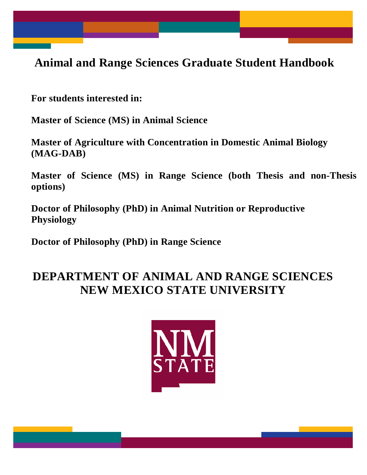**Animal and Range Sciences Graduate Student Handbook**

**For students interested in:**

**Master of Science (MS) in Animal Science**

**Master of Agriculture with Concentration in Domestic Animal Biology (MAG-DAB)**

**Master of Science (MS) in Range Science (both Thesis and non-Thesis options)**

**Doctor of Philosophy (PhD) in Animal Nutrition or Reproductive Physiology**

**Doctor of Philosophy (PhD) in Range Science**

# **DEPARTMENT OF ANIMAL AND RANGE SCIENCES NEW MEXICO STATE UNIVERSITY**

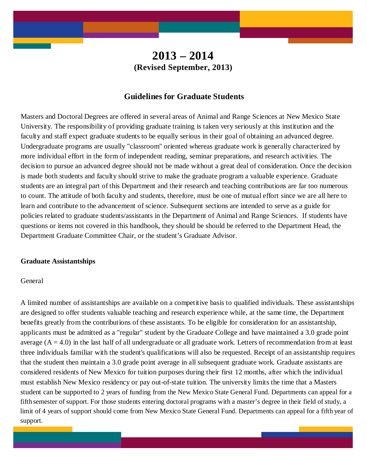# **2013 – 2014 (Revised September, 2013)**

## **Guidelines for Graduate Students**

Masters and Doctoral Degrees are offered in several areas of Animal and Range Sciences at New Mexico State University. The responsibility of providing graduate training is taken very seriously at this institution and the faculty and staff expect graduate students to be equally serious in their goal of obtaining an advanced degree. Undergraduate programs are usually "classroom" oriented whereas graduate work is generally characterized by more individual effort in the form of independent reading, seminar preparations, and research activities. The decision to pursue an advanced degree should not be made without a great deal of consideration. Once the decision is made both students and faculty should strive to make the graduate program a valuable experience. Graduate students are an integral part of this Department and their research and teaching contributions are far too numerous to count. The attitude of both faculty and students, therefore, must be one of mutual effort since we are all here to learn and contribute to the advancement of science. Subsequent sections are intended to serve as a guide for policies related to graduate students/assistants in the Department of Animal and Range Sciences. If students have questions or items not covered in this handbook, they should be should be referred to the Department Head, the Department Graduate Committee Chair, or the student's Graduate Advisor.

#### **Graduate Assistantships**

## General

A limited number of assistantships are available on a competitive basis to qualified individuals. These assistantships are designed to offer students valuable teaching and research experience while, at the same time, the Department benefits greatly from the contributions of these assistants. To be eligible for consideration for an assistantship, applicants must be admitted as a "regular" student by the Graduate College and have maintained a 3.0 grade point average  $(A = 4.0)$  in the last half of all undergraduate or all graduate work. Letters of recommendation from at least three individuals familiar with the student's qualifications will also be requested. Receipt of an assistantship requires that the student then maintain a 3.0 grade point average in all subsequent graduate work. Graduate assistants are considered residents of New Mexico for tuition purposes during their first 12 months, after which the individual must establish New Mexico residency or pay out-of-state tuition. The university limits the time that a Masters student can be supported to 2 years of funding from the New Mexico State General Fund. Departments can appeal for a fifth semester of support. For those students entering doctoral programs with a master's degree in their field of study, a limit of 4 years of support should come from New Mexico State General Fund. Departments can appeal for a fifth year of support.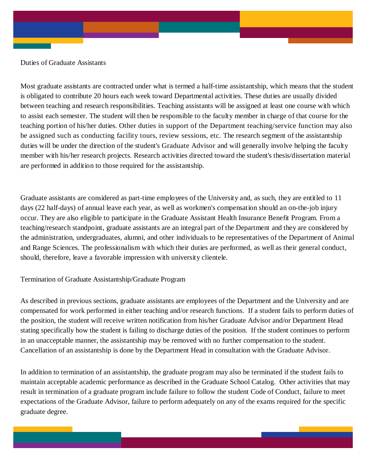Duties of Graduate Assistants

Most graduate assistants are contracted under what is termed a half-time assistantship, which means that the student is obligated to contribute 20 hours each week toward Departmental activities. These duties are usually divided between teaching and research responsibilities. Teaching assistants will be assigned at least one course with which to assist each semester. The student will then be responsible to the faculty member in charge of that course for the teaching portion of his/her duties. Other duties in support of the Department teaching/service function may also be assigned such as conducting facility tours, review sessions, etc. The research segment of the assistantship duties will be under the direction of the student's Graduate Advisor and will generally involve helping the faculty member with his/her research projects. Research activities directed toward the student's thesis/dissertation material are performed in addition to those required for the assistantship.

Graduate assistants are considered as part-time employees of the University and, as such, they are entitled to 11 days (22 half-days) of annual leave each year, as well as workmen's compensation should an on-the-job injury occur. They are also eligible to participate in the Graduate Assistant Health Insurance Benefit Program. From a teaching/research standpoint, graduate assistants are an integral part of the Department and they are considered by the administration, undergraduates, alumni, and other individuals to be representatives of the Department of Animal and Range Sciences. The professionalism with which their duties are performed, as well as their general conduct, should, therefore, leave a favorable impression with university clientele.

Termination of Graduate Assistantship/Graduate Program

As described in previous sections, graduate assistants are employees of the Department and the University and are compensated for work performed in either teaching and/or research functions. If a student fails to perform duties of the position, the student will receive written notification from his/her Graduate Advisor and/or Department Head stating specifically how the student is failing to discharge duties of the position. If the student continues to perform in an unacceptable manner, the assistantship may be removed with no further compensation to the student. Cancellation of an assistantship is done by the Department Head in consultation with the Graduate Advisor.

In addition to termination of an assistantship, the graduate program may also be terminated if the student fails to maintain acceptable academic performance as described in the Graduate School Catalog. Other activities that may result in termination of a graduate program include failure to follow the student Code of Conduct, failure to meet expectations of the Graduate Advisor, failure to perform adequately on any of the exams required for the specific graduate degree.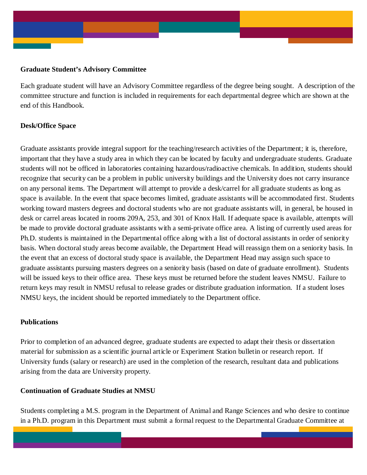## **Graduate Student's Advisory Committee**

Each graduate student will have an Advisory Committee regardless of the degree being sought. A description of the committee structure and function is included in requirements for each departmental degree which are shown at the end of this Handbook.

## **Desk/Office Space**

Graduate assistants provide integral support for the teaching/research activities of the Department; it is, therefore, important that they have a study area in which they can be located by faculty and undergraduate students. Graduate students will not be officed in laboratories containing hazardous/radioactive chemicals. In addition, students should recognize that security can be a problem in public university buildings and the University does not carry insurance on any personal items. The Department will attempt to provide a desk/carrel for all graduate students as long as space is available. In the event that space becomes limited, graduate assistants will be accommodated first. Students working toward masters degrees and doctoral students who are not graduate assistants will, in general, be housed in desk or carrel areas located in rooms 209A, 253, and 301 of Knox Hall. If adequate space is available, attempts will be made to provide doctoral graduate assistants with a semi-private office area. A listing of currently used areas for Ph.D. students is maintained in the Departmental office along with a list of doctoral assistants in order of seniority basis. When doctoral study areas become available, the Department Head will reassign them on a seniority basis. In the event that an excess of doctoral study space is available, the Department Head may assign such space to graduate assistants pursuing masters degrees on a seniority basis (based on date of graduate enrollment). Students will be issued keys to their office area. These keys must be returned before the student leaves NMSU. Failure to return keys may result in NMSU refusal to release grades or distribute graduation information. If a student loses NMSU keys, the incident should be reported immediately to the Department office.

## **Publications**

Prior to completion of an advanced degree, graduate students are expected to adapt their thesis or dissertation material for submission as a scientific journal article or Experiment Station bulletin or research report. If University funds (salary or research) are used in the completion of the research, resultant data and publications arising from the data are University property.

## **Continuation of Graduate Studies at NMSU**

Students completing a M.S. program in the Department of Animal and Range Sciences and who desire to continue in a Ph.D. program in this Department must submit a formal request to the Departmental Graduate Committee at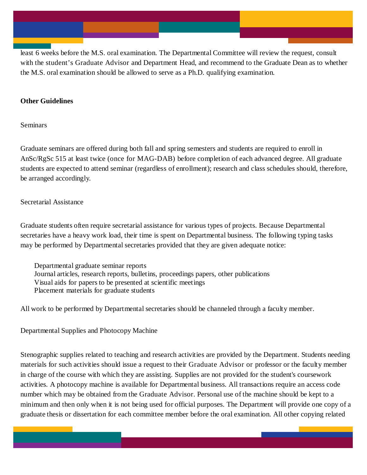least 6 weeks before the M.S. oral examination. The Departmental Committee will review the request, consult with the student's Graduate Advisor and Department Head, and recommend to the Graduate Dean as to whether the M.S. oral examination should be allowed to serve as a Ph.D. qualifying examination.

## **Other Guidelines**

Seminars

Graduate seminars are offered during both fall and spring semesters and students are required to enroll in AnSc/RgSc 515 at least twice (once for MAG-DAB) before completion of each advanced degree. All graduate students are expected to attend seminar (regardless of enrollment); research and class schedules should, therefore, be arranged accordingly.

## Secretarial Assistance

Graduate students often require secretarial assistance for various types of projects. Because Departmental secretaries have a heavy work load, their time is spent on Departmental business. The following typing tasks may be performed by Departmental secretaries provided that they are given adequate notice:

Departmental graduate seminar reports Journal articles, research reports, bulletins, proceedings papers, other publications Visual aids for papers to be presented at scientific meetings Placement materials for graduate students

All work to be performed by Departmental secretaries should be channeled through a faculty member.

Departmental Supplies and Photocopy Machine

Stenographic supplies related to teaching and research activities are provided by the Department. Students needing materials for such activities should issue a request to their Graduate Advisor or professor or the faculty member in charge of the course with which they are assisting. Supplies are not provided for the student's coursework activities. A photocopy machine is available for Departmental business. All transactions require an access code number which may be obtained from the Graduate Advisor. Personal use of the machine should be kept to a minimum and then only when it is not being used for official purposes. The Department will provide one copy of a graduate thesis or dissertation for each committee member before the oral examination. All other copying related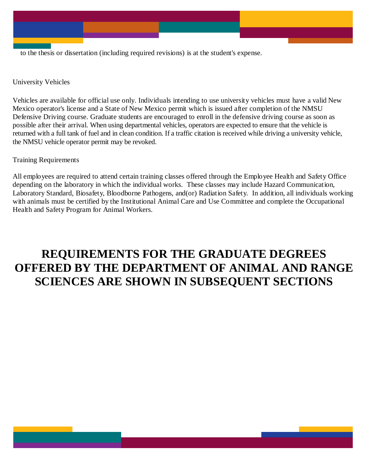to the thesis or dissertation (including required revisions) is at the student's expense.

University Vehicles

Vehicles are available for official use only. Individuals intending to use university vehicles must have a valid New Mexico operator's license and a State of New Mexico permit which is issued after completion of the NMSU Defensive Driving course. Graduate students are encouraged to enroll in the defensive driving course as soon as possible after their arrival. When using departmental vehicles, operators are expected to ensure that the vehicle is returned with a full tank of fuel and in clean condition. If a traffic citation is received while driving a university vehicle, the NMSU vehicle operator permit may be revoked.

Training Requirements

All employees are required to attend certain training classes offered through the Employee Health and Safety Office depending on the laboratory in which the individual works. These classes may include Hazard Communication, Laboratory Standard, Biosafety, Bloodborne Pathogens, and(or) Radiation Safety. In addition, all individuals working with animals must be certified by the Institutional Animal Care and Use Committee and complete the Occupational Health and Safety Program for Animal Workers.

# **REQUIREMENTS FOR THE GRADUATE DEGREES OFFERED BY THE DEPARTMENT OF ANIMAL AND RANGE SCIENCES ARE SHOWN IN SUBSEQUENT SECTIONS**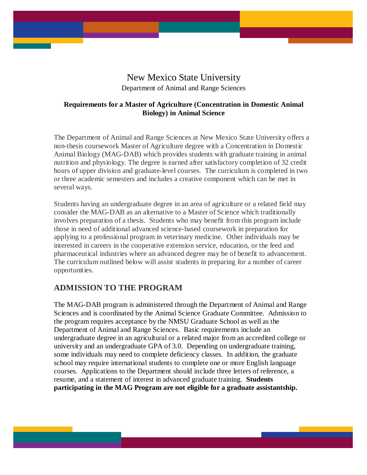# New Mexico State University

Department of Animal and Range Sciences

## **Requirements for a Master of Agriculture (Concentration in Domestic Animal Biology) in Animal Science**

The Department of Animal and Range Sciences at New Mexico State University offers a non-thesis coursework Master of Agriculture degree with a Concentration in Domestic Animal Biology (MAG-DAB) which provides students with graduate training in animal nutrition and physiology. The degree is earned after satisfactory completion of 32 credit hours of upper division and graduate-level courses. The curriculum is completed in two or three academic semesters and includes a creative component which can be met in several ways.

Students having an undergraduate degree in an area of agriculture or a related field may consider the MAG-DAB as an alternative to a Master of Science which traditionally involves preparation of a thesis. Students who may benefit from this program include those in need of additional advanced science-based coursework in preparation for applying to a professional program in veterinary medicine. Other individuals may be interested in careers in the cooperative extension service, education, or the feed and pharmaceutical industries where an advanced degree may be of benefit to advancement. The curriculum outlined below will assist students in preparing for a number of career opportunities.

## **ADMISSION TO THE PROGRAM**

The MAG-DAB program is administered through the Department of Animal and Range Sciences and is coordinated by the Animal Science Graduate Committee. Admission to the program requires acceptance by the NMSU Graduate School as well as the Department of Animal and Range Sciences. Basic requirements include an undergraduate degree in an agricultural or a related major from an accredited college or university and an undergraduate GPA of 3.0. Depending on undergraduate training, some individuals may need to complete deficiency classes. In addition, the graduate school may require international students to complete one or more English language courses. Applications to the Department should include three letters of reference, a resume, and a statement of interest in advanced graduate training. **Students participating in the MAG Program are not eligible for a graduate assistantship.**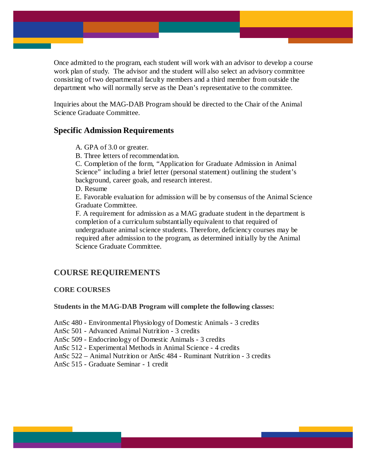Once admitted to the program, each student will work with an advisor to develop a course work plan of study. The advisor and the student will also select an advisory committee consisting of two departmental faculty members and a third member from outside the department who will normally serve as the Dean's representative to the committee.

Inquiries about the MAG-DAB Program should be directed to the Chair of the Animal Science Graduate Committee.

## **Specific Admission Requirements**

- A. GPA of 3.0 or greater.
- B. Three letters of recommendation.

C. Completion of the form, "Application for Graduate Admission in Animal Science" including a brief letter (personal statement) outlining the student's background, career goals, and research interest.

D. Resume

E. Favorable evaluation for admission will be by consensus of the Animal Science Graduate Committee.

F. A requirement for admission as a MAG graduate student in the department is completion of a curriculum substantially equivalent to that required of undergraduate animal science students. Therefore, deficiency courses may be required after admission to the program, as determined initially by the Animal Science Graduate Committee.

## **COURSE REQUIREMENTS**

### **CORE COURSES**

#### **Students in the MAG-DAB Program will complete the following classes:**

AnSc 480 - Environmental Physiology of Domestic Animals - 3 credits

AnSc 501 - Advanced Animal Nutrition - 3 credits

AnSc 509 - Endocrinology of Domestic Animals - 3 credits

AnSc 512 - Experimental Methods in Animal Science - 4 credits

AnSc 522 – Animal Nutrition or AnSc 484 - Ruminant Nutrition - 3 credits

AnSc 515 - Graduate Seminar - 1 credit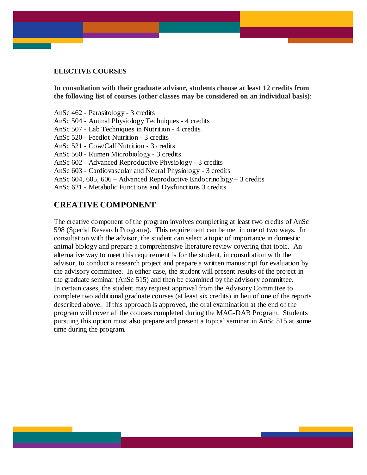## **ELECTIVE COURSES**

**In consultation with their graduate advisor, students choose at least 12 credits from the following list of courses (other classes may be considered on an individual basis)**:

AnSc 462 - Parasitology - 3 credits AnSc 504 - Animal Physiology Techniques - 4 credits AnSc 507 - Lab Techniques in Nutrition - 4 credits AnSc 520 - Feedlot Nutrition - 3 credits AnSc 521 - Cow/Calf Nutrition - 3 credits AnSc 560 - Rumen Microbiology - 3 credits AnSc 602 - Advanced Reproductive Physiology - 3 credits AnSc 603 - Cardiovascular and Neural Physiology - 3 credits AnSc 604, 605, 606 – Advanced Reproductive Endocrinology – 3 credits AnSc 621 - Metabolic Functions and Dysfunctions 3 credits

## **CREATIVE COMPONENT**

The creative component of the program involves completing at least two credits of AnSc 598 (Special Research Programs). This requirement can be met in one of two ways. In consultation with the advisor, the student can select a topic of importance in domestic animal biology and prepare a comprehensive literature review covering that topic. An alternative way to meet this requirement is for the student, in consultation with the advisor, to conduct a research project and prepare a written manuscript for evaluation by the advisory committee. In either case, the student will present results of the project in the graduate seminar (AnSc 515) and then be examined by the advisory committee. In certain cases, the student may request approval from the Advisory Committee to complete two additional graduate courses (at least six credits) in lieu of one of the reports described above. If this approach is approved, the oral examination at the end of the program will cover all the courses completed during the MAG-DAB Program. Students pursuing this option must also prepare and present a topical seminar in AnSc 515 at some time during the program.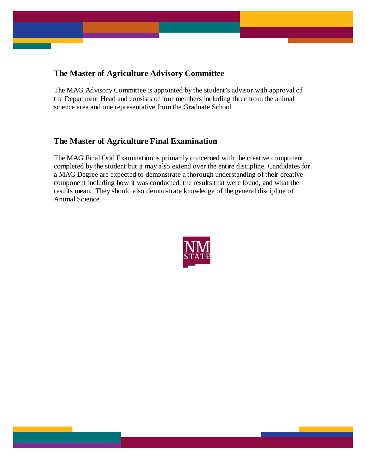## **The Master of Agriculture Advisory Committee**

The MAG Advisory Committee is appointed by the student's advisor with approval of the Department Head and consists of four members including three from the animal science area and one representative from the Graduate School.

## **The Master of Agriculture Final Examination**

The MAG Final Oral Examination is primarily concerned with the creative component completed by the student but it may also extend over the entire discipline. Candidates for a MAG Degree are expected to demonstrate a thorough understanding of their creative component including how it was conducted, the results that were found, and what the results mean. They should also demonstrate knowledge of the general discipline of Animal Science.

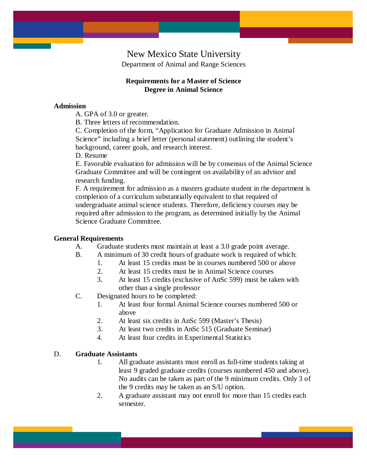## New Mexico State University

Department of Animal and Range Sciences

## **Requirements for a Master of Science Degree in Animal Science**

## **Admission**

A. GPA of 3.0 or greater.

B. Three letters of recommendation.

C. Completion of the form, "Application for Graduate Admission in Animal Science" including a brief letter (personal statement) outlining the student's background, career goals, and research interest.

D. Resume

E. Favorable evaluation for admission will be by consensus of the Animal Science Graduate Committee and will be contingent on availability of an advisor and research funding.

F. A requirement for admission as a masters graduate student in the department is completion of a curriculum substantially equivalent to that required of undergraduate animal science students. Therefore, deficiency courses may be required after admission to the program, as determined initially by the Animal Science Graduate Committee.

## **General Requirements**

A. Graduate students must maintain at least a 3.0 grade point average.

- B. A minimum of 30 credit hours of graduate work is required of which:
	- 1. At least 15 credits must be in courses numbered 500 or above
	- 2. At least 15 credits must be in Animal Science courses
	- 3. At least 15 credits (exclusive of AnSc 599) must be taken with other than a single professor
- C. Designated hours to be completed:
	- 1. At least four formal Animal Science courses numbered 500 or above
	- 2. At least six credits in AnSc 599 (Master's Thesis)
	- 3. At least two credits in AnSc 515 (Graduate Seminar)
	- 4. At least four credits in Experimental Statistics

## D. **Graduate Assistants**

- 1. All graduate assistants must enroll as full-time students taking at least 9 graded graduate credits (courses numbered 450 and above). No audits can be taken as part of the 9 minimum credits. Only 3 of the 9 credits may be taken as an S/U option.
- 2. A graduate assistant may not enroll for more than 15 credits each semester.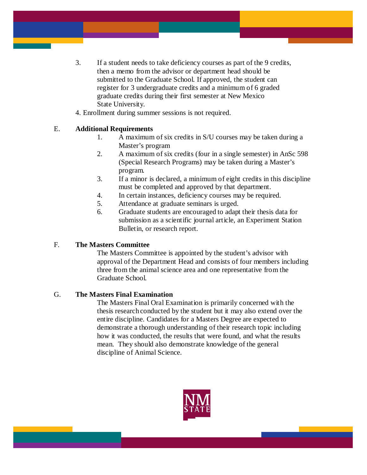- 3. If a student needs to take deficiency courses as part of the 9 credits, then a memo from the advisor or department head should be submitted to the Graduate School. If approved, the student can register for 3 undergraduate credits and a minimum of 6 graded graduate credits during their first semester at New Mexico State University.
- 4. Enrollment during summer sessions is not required.

## E. **Additional Requirements**

- 1. A maximum of six credits in S/U courses may be taken during a Master's program
- 2. A maximum of six credits (four in a single semester) in AnSc 598 (Special Research Programs) may be taken during a Master's program.
- 3. If a minor is declared, a minimum of eight credits in this discipline must be completed and approved by that department.
- 4. In certain instances, deficiency courses may be required.
- 5. Attendance at graduate seminars is urged.
- 6. Graduate students are encouraged to adapt their thesis data for submission as a scientific journal article, an Experiment Station Bulletin, or research report.

## F. **The Masters Committee**

The Masters Committee is appointed by the student's advisor with approval of the Department Head and consists of four members including three from the animal science area and one representative from the Graduate School.

## G. **The Masters Final Examination**

The Masters Final Oral Examination is primarily concerned with the thesis research conducted by the student but it may also extend over the entire discipline. Candidates for a Masters Degree are expected to demonstrate a thorough understanding of their research topic including how it was conducted, the results that were found, and what the results mean. They should also demonstrate knowledge of the general discipline of Animal Science.

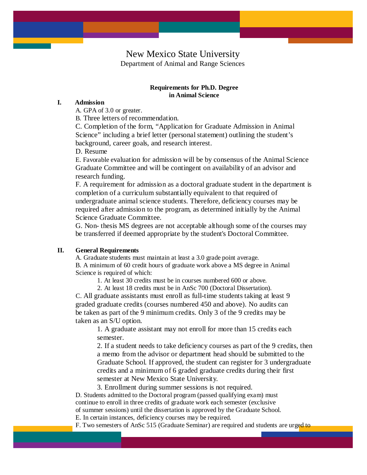## New Mexico State University Department of Animal and Range Sciences

#### **Requirements for Ph.D. Degree in Animal Science**

### **I. Admission**

A. GPA of 3.0 or greater.

B. Three letters of recommendation.

C. Completion of the form, "Application for Graduate Admission in Animal Science" including a brief letter (personal statement) outlining the student's background, career goals, and research interest.

D. Resume

E. Favorable evaluation for admission will be by consensus of the Animal Science Graduate Committee and will be contingent on availability of an advisor and research funding.

F. A requirement for admission as a doctoral graduate student in the department is completion of a curriculum substantially equivalent to that required of undergraduate animal science students. Therefore, deficiency courses may be required after admission to the program, as determined initially by the Animal Science Graduate Committee.

G. Non- thesis MS degrees are not acceptable although some of the courses may be transferred if deemed appropriate by the student's Doctoral Committee.

#### **II. General Requirements**

A. Graduate students must maintain at least a 3.0 grade point average.

B. A minimum of 60 credit hours of graduate work above a MS degree in Animal Science is required of which:

1. At least 30 credits must be in courses numbered 600 or above.

2. At least 18 credits must be in AnSc 700 (Doctoral Dissertation).

C. All graduate assistants must enroll as full-time students taking at least 9 graded graduate credits (courses numbered 450 and above). No audits can be taken as part of the 9 minimum credits. Only 3 of the 9 credits may be taken as an S/U option.

1. A graduate assistant may not enroll for more than 15 credits each semester.

2. If a student needs to take deficiency courses as part of the 9 credits, then a memo from the advisor or department head should be submitted to the Graduate School. If approved, the student can register for 3 undergraduate credits and a minimum of 6 graded graduate credits during their first semester at New Mexico State University.

3. Enrollment during summer sessions is not required. D. Students admitted to the Doctoral program (passed qualifying exam) must continue to enroll in three credits of graduate work each semester (exclusive

of summer sessions) until the dissertation is approved by the Graduate School.

E. In certain instances, deficiency courses may be required.

F. Two semesters of AnSc 515 (Graduate Seminar) are required and students are urged to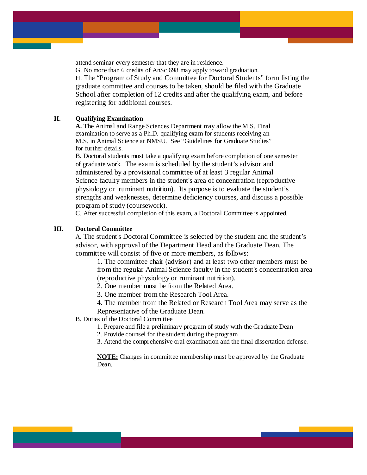attend seminar every semester that they are in residence.

G. No more than 6 credits of AnSc 698 may apply toward graduation.

H. The "Program of Study and Committee for Doctoral Students" form listing the graduate committee and courses to be taken, should be filed with the Graduate School after completion of 12 credits and after the qualifying exam, and before registering for additional courses.

#### **II. Qualifying Examination**

**A.** The Animal and Range Sciences Department may allow the M.S. Final examination to serve as a Ph.D. qualifying exam for students receiving an M.S. in Animal Science at NMSU. See "Guidelines for Graduate Studies" for further details.

B. Doctoral students must take a qualifying exam before completion of one semester of graduate work. The exam is scheduled by the student's advisor and administered by a provisional committee of at least 3 regular Animal Science faculty members in the student's area of concentration (reproductive physiology or ruminant nutrition). Its purpose is to evaluate the student's strengths and weaknesses, determine deficiency courses, and discuss a possible program of study (coursework).

C. After successful completion of this exam, a Doctoral Committee is appointed.

#### **III. Doctoral Committee**

A. The student's Doctoral Committee is selected by the student and the student's advisor, with approval of the Department Head and the Graduate Dean. The committee will consist of five or more members, as follows:

1. The committee chair (advisor) and at least two other members must be from the regular Animal Science faculty in the student's concentration area (reproductive physiology or ruminant nutrition).

2. One member must be from the Related Area.

3. One member from the Research Tool Area.

4. The member from the Related or Research Tool Area may serve as the Representative of the Graduate Dean.

B. Duties of the Doctoral Committee

1. Prepare and file a preliminary program of study with the Graduate Dean

2. Provide counsel for the student during the program

3. Attend the comprehensive oral examination and the final dissertation defense.

**NOTE:** Changes in committee membership must be approved by the Graduate Dean.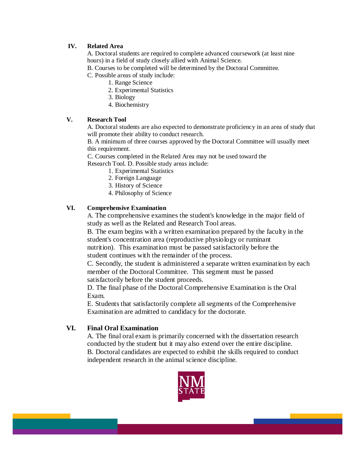## **IV. Related Area**

A. Doctoral students are required to complete advanced coursework (at least nine hours) in a field of study closely allied with Animal Science.

B. Courses to be completed will be determined by the Doctoral Committee.

C. Possible areas of study include:

- 1. Range Science
- 2. Experimental Statistics
- 3. Biology
- 4. Biochemistry

## **V. Research Tool**

A. Doctoral students are also expected to demonstrate proficiency in an area of study that will promote their ability to conduct research.

B. A minimum of three courses approved by the Doctoral Committee will usually meet this requirement.

C. Courses completed in the Related Area may not be used toward the

Research Tool. D. Possible study areas include:

- 1. Experimental Statistics
- 2. Foreign Language
- 3. History of Science
- 4. Philosophy of Science

## **VI. Comprehensive Examination**

A. The comprehensive examines the student's knowledge in the major field of study as well as the Related and Research Tool areas.

B. The exam begins with a written examination prepared by the faculty in the student's concentration area (reproductive physiology or ruminant nutrition). This examination must be passed satisfactorily before the student continues with the remainder of the process.

C. Secondly, the student is administered a separate written examination by each member of the Doctoral Committee. This segment must be passed satisfactorily before the student proceeds.

D. The final phase of the Doctoral Comprehensive Examination is the Oral Exam.

E. Students that satisfactorily complete all segments of the Comprehensive Examination are admitted to candidacy for the doctorate.

## **VI. Final Oral Examination**

A. The final oral exam is primarily concerned with the dissertation research conducted by the student but it may also extend over the entire discipline. B. Doctoral candidates are expected to exhibit the skills required to conduct independent research in the animal science discipline.

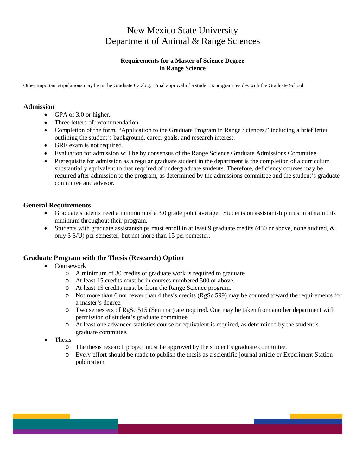## New Mexico State University Department of Animal & Range Sciences

## **Requirements for a Master of Science Degree in Range Science**

Other important stipulations may be in the Graduate Catalog. Final approval of a student's program resides with the Graduate School.

## **Admission**

- GPA of 3.0 or higher.
- Three letters of recommendation.
- Completion of the form, "Application to the Graduate Program in Range Sciences," including a brief letter outlining the student's background, career goals, and research interest.
- GRE exam is not required.
- Evaluation for admission will be by consensus of the Range Science Graduate Admissions Committee.
- Prerequisite for admission as a regular graduate student in the department is the completion of a curriculum substantially equivalent to that required of undergraduate students. Therefore, deficiency courses may be required after admission to the program, as determined by the admissions committee and the student's graduate committee and advisor.

## **General Requirements**

- Graduate students need a minimum of a 3.0 grade point average. Students on assistantship must maintain this minimum throughout their program.
- Students with graduate assistantships must enroll in at least 9 graduate credits (450 or above, none audited, & only 3 S/U) per semester, but not more than 15 per semester.

## **Graduate Program with the Thesis (Research) Option**

- Coursework
	- o A minimum of 30 credits of graduate work is required to graduate.
	- o At least 15 credits must be in courses numbered 500 or above.
	- o At least 15 credits must be from the Range Science program.
	- o Not more than 6 nor fewer than 4 thesis credits (RgSc 599) may be counted toward the requirements for a master's degree.
	- o Two semesters of RgSc 515 (Seminar) are required. One may be taken from another department with permission of student's graduate committee.
	- o At least one advanced statistics course or equivalent is required, as determined by the student's graduate committee.
- Thesis
	- o The thesis research project must be approved by the student's graduate committee.<br>  $\circ$  Every effort should be made to publish the thesis as a scientific journal article or Ex
	- Every effort should be made to publish the thesis as a scientific journal article or Experiment Station publication.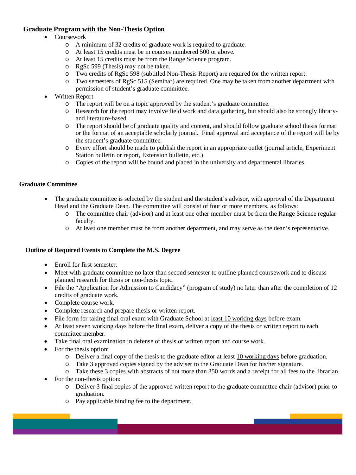## **Graduate Program with the Non-Thesis Option**

## • Coursework

- o A minimum of 32 credits of graduate work is required to graduate.
- o At least 15 credits must be in courses numbered 500 or above.
- o At least 15 credits must be from the Range Science program.
- o RgSc 599 (Thesis) may not be taken.
- o Two credits of RgSc 598 (subtitled Non-Thesis Report) are required for the written report.
- Two semesters of RgSc 515 (Seminar) are required. One may be taken from another department with permission of student's graduate committee.
- Written Report
	- o The report will be on a topic approved by the student's graduate committee.<br>  $\circ$  Research for the report may involve field work and data gathering, but shoul
	- Research for the report may involve field work and data gathering, but should also be strongly libraryand literature-based.
	- o The report should be of graduate quality and content, and should follow graduate school thesis format or the format of an acceptable scholarly journal. Final approval and acceptance of the report will be by the student's graduate committee.
	- o Every effort should be made to publish the report in an appropriate outlet (journal article, Experiment Station bulletin or report, Extension bulletin, etc.)
	- o Copies of the report will be bound and placed in the university and departmental libraries.

## **Graduate Committee**

- The graduate committee is selected by the student and the student's advisor, with approval of the Department Head and the Graduate Dean. The committee will consist of four or more members, as follows:
	- o The committee chair (advisor) and at least one other member must be from the Range Science regular faculty.
	- o At least one member must be from another department, and may serve as the dean's representative.

## **Outline of Required Events to Complete the M.S. Degree**

- Enroll for first semester.
- Meet with graduate committee no later than second semester to outline planned coursework and to discuss planned research for thesis or non-thesis topic.
- File the "Application for Admission to Candidacy" (program of study) no later than after the completion of 12 credits of graduate work.
- Complete course work.
- Complete research and prepare thesis or written report.
- File form for taking final oral exam with Graduate School at least 10 working days before exam.
- At least seven working days before the final exam, deliver a copy of the thesis or written report to each committee member.
- Take final oral examination in defense of thesis or written report and course work.
- For the thesis option:
	- o Deliver a final copy of the thesis to the graduate editor at least  $\frac{10}{10}$  working days before graduation.<br>Take 3 approved copies signed by the adviser to the Graduate Dean for his/her signature.
	- Take 3 approved copies signed by the adviser to the Graduate Dean for his/her signature.
- o Take these 3 copies with abstracts of not more than 350 words and a receipt for all fees to the librarian. • For the non-thesis option:
- - o Deliver 3 final copies of the approved written report to the graduate committee chair (advisor) prior to graduation.
	- o Pay applicable binding fee to the department.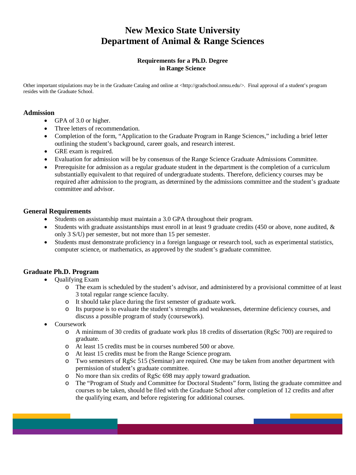# **New Mexico State University Department of Animal & Range Sciences**

## **Requirements for a Ph.D. Degree in Range Science**

Other important stipulations may be in the Graduate Catalog and online at <http://gradschool.nmsu.edu/>. Final approval of a student's program resides with the Graduate School.

## **Admission**

- GPA of 3.0 or higher.
- Three letters of recommendation.
- Completion of the form, "Application to the Graduate Program in Range Sciences," including a brief letter outlining the student's background, career goals, and research interest.
- GRE exam is required.
- Evaluation for admission will be by consensus of the Range Science Graduate Admissions Committee.
- Prerequisite for admission as a regular graduate student in the department is the completion of a curriculum substantially equivalent to that required of undergraduate students. Therefore, deficiency courses may be required after admission to the program, as determined by the admissions committee and the student's graduate committee and advisor.

## **General Requirements**

- Students on assistantship must maintain a 3.0 GPA throughout their program.
- Students with graduate assistantships must enroll in at least 9 graduate credits (450 or above, none audited,  $\&$ only 3 S/U) per semester, but not more than 15 per semester.
- Students must demonstrate proficiency in a foreign language or research tool, such as experimental statistics, computer science, or mathematics, as approved by the student's graduate committee.

## **Graduate Ph.D. Program**

- Qualifying Exam
	- o The exam is scheduled by the student's advisor, and administered by a provisional committee of at least 3 total regular range science faculty.
	- o It should take place during the first semester of graduate work.
	- o Its purpose is to evaluate the student's strengths and weaknesses, determine deficiency courses, and discuss a possible program of study (coursework).
- Coursework
	- o A minimum of 30 credits of graduate work plus 18 credits of dissertation (RgSc 700) are required to graduate.
	- o At least 15 credits must be in courses numbered 500 or above.
	- o At least 15 credits must be from the Range Science program.
	- o Two semesters of RgSc 515 (Seminar) are required. One may be taken from another department with permission of student's graduate committee.
	- o No more than six credits of RgSc 698 may apply toward graduation.
	- o The "Program of Study and Committee for Doctoral Students" form, listing the graduate committee and courses to be taken, should be filed with the Graduate School after completion of 12 credits and after the qualifying exam, and before registering for additional courses.